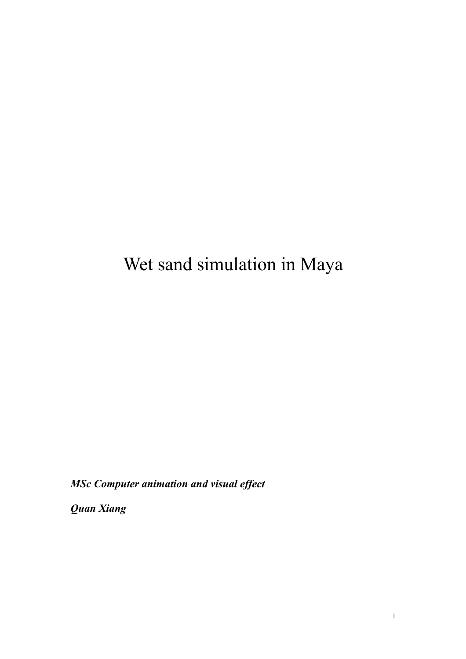# Wet sand simulation in Maya

*MSc Computer animation and visual effect*

*Quan Xiang*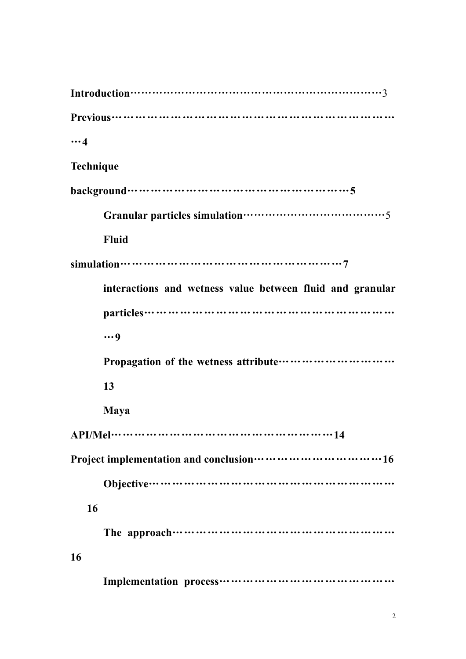**Introduction**……………………………………………………………3 **Previous**……………………………………………………………… …**4 Technique background**…………………………………………………**5 Granular particles simulation**…………………………………5 **Fluid simulation**…………………………………………………**7 interactions and wetness value between fluid and granular particles**……………………………………………………… …**9 Propagation of the wetness attribute**………………………… **13 Maya API/Mel**…………………………………………………**14 Project implementation and conclusion**……………………………**16 Objective**……………………………………………………… **16 The approach**………………………………………………… **16 Implementation process**………………………………………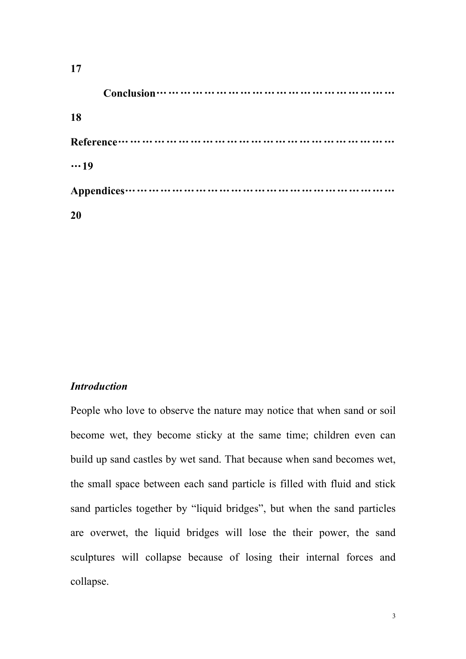| 17          |
|-------------|
|             |
| <b>18</b>   |
|             |
| $\cdots$ 19 |
|             |
| <b>20</b>   |

# *Introduction*

People who love to observe the nature may notice that when sand or soil become wet, they become sticky at the same time; children even can build up sand castles by wet sand. That because when sand becomes wet, the small space between each sand particle is filled with fluid and stick sand particles together by "liquid bridges", but when the sand particles are overwet, the liquid bridges will lose the their power, the sand sculptures will collapse because of losing their internal forces and collapse.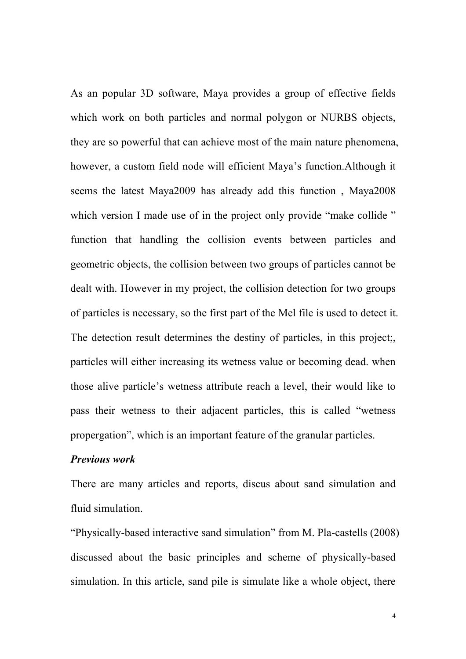As an popular 3D software, Maya provides a group of effective fields which work on both particles and normal polygon or NURBS objects, they are so powerful that can achieve most of the main nature phenomena, however, a custom field node will efficient Maya's function.Although it seems the latest Maya2009 has already add this function , Maya2008 which version I made use of in the project only provide "make collide" function that handling the collision events between particles and geometric objects, the collision between two groups of particles cannot be dealt with. However in my project, the collision detection for two groups of particles is necessary, so the first part of the Mel file is used to detect it. The detection result determines the destiny of particles, in this project;, particles will either increasing its wetness value or becoming dead. when those alive particle's wetness attribute reach a level, their would like to pass their wetness to their adjacent particles, this is called "wetness propergation", which is an important feature of the granular particles.

#### *Previous work*

There are many articles and reports, discus about sand simulation and fluid simulation.

"Physically-based interactive sand simulation" from M. Pla-castells (2008) discussed about the basic principles and scheme of physically-based simulation. In this article, sand pile is simulate like a whole object, there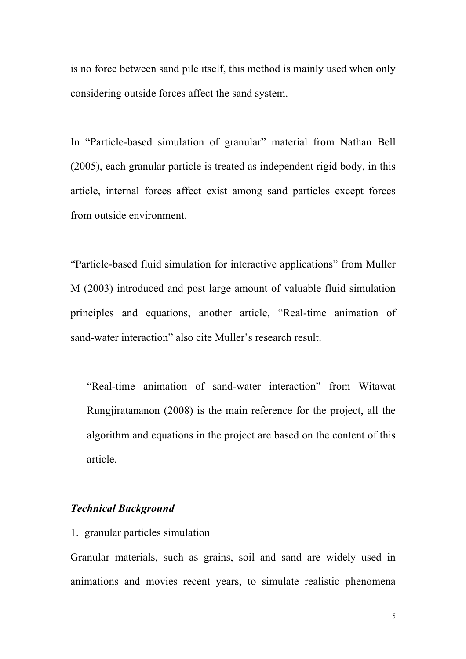is no force between sand pile itself, this method is mainly used when only considering outside forces affect the sand system.

In "Particle-based simulation of granular" material from Nathan Bell (2005), each granular particle is treated as independent rigid body, in this article, internal forces affect exist among sand particles except forces from outside environment.

"Particle-based fluid simulation for interactive applications" from Muller M (2003) introduced and post large amount of valuable fluid simulation principles and equations, another article, "Real-time animation of sand-water interaction" also cite Muller's research result.

"Real-time animation of sand-water interaction" from Witawat Rungjiratananon (2008) is the main reference for the project, all the algorithm and equations in the project are based on the content of this article.

#### *Technical Background*

1. granular particles simulation

Granular materials, such as grains, soil and sand are widely used in animations and movies recent years, to simulate realistic phenomena

5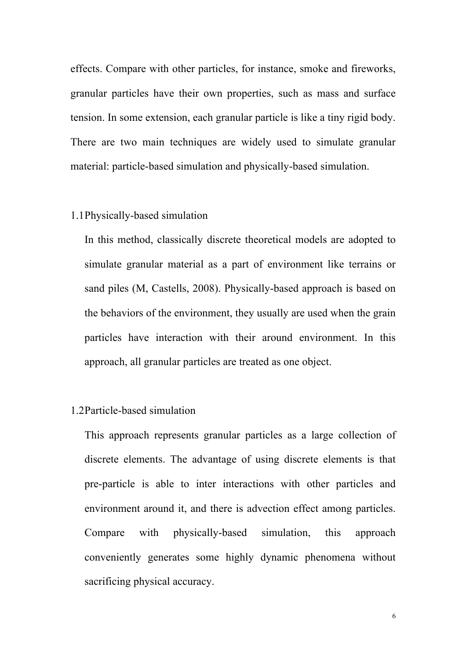effects. Compare with other particles, for instance, smoke and fireworks, granular particles have their own properties, such as mass and surface tension. In some extension, each granular particle is like a tiny rigid body. There are two main techniques are widely used to simulate granular material: particle-based simulation and physically-based simulation.

### 1.1Physically-based simulation

In this method, classically discrete theoretical models are adopted to simulate granular material as a part of environment like terrains or sand piles (M, Castells, 2008). Physically-based approach is based on the behaviors of the environment, they usually are used when the grain particles have interaction with their around environment. In this approach, all granular particles are treated as one object.

# 1.2Particle-based simulation

This approach represents granular particles as a large collection of discrete elements. The advantage of using discrete elements is that pre-particle is able to inter interactions with other particles and environment around it, and there is advection effect among particles. Compare with physically-based simulation, this approach conveniently generates some highly dynamic phenomena without sacrificing physical accuracy.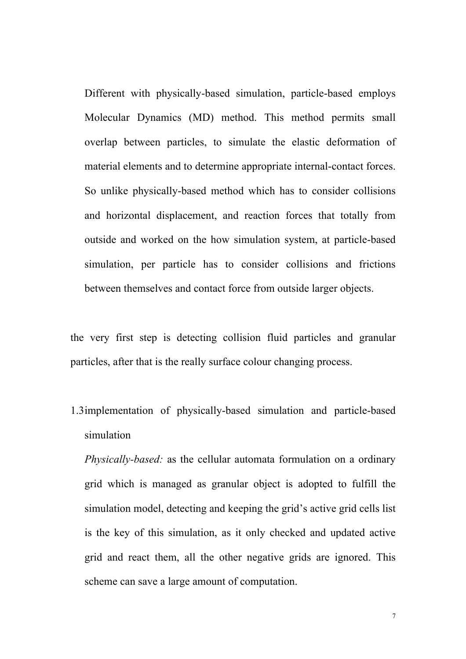Different with physically-based simulation, particle-based employs Molecular Dynamics (MD) method. This method permits small overlap between particles, to simulate the elastic deformation of material elements and to determine appropriate internal-contact forces. So unlike physically-based method which has to consider collisions and horizontal displacement, and reaction forces that totally from outside and worked on the how simulation system, at particle-based simulation, per particle has to consider collisions and frictions between themselves and contact force from outside larger objects.

the very first step is detecting collision fluid particles and granular particles, after that is the really surface colour changing process.

1.3implementation of physically-based simulation and particle-based simulation

*Physically-based:* as the cellular automata formulation on a ordinary grid which is managed as granular object is adopted to fulfill the simulation model, detecting and keeping the grid's active grid cells list is the key of this simulation, as it only checked and updated active grid and react them, all the other negative grids are ignored. This scheme can save a large amount of computation.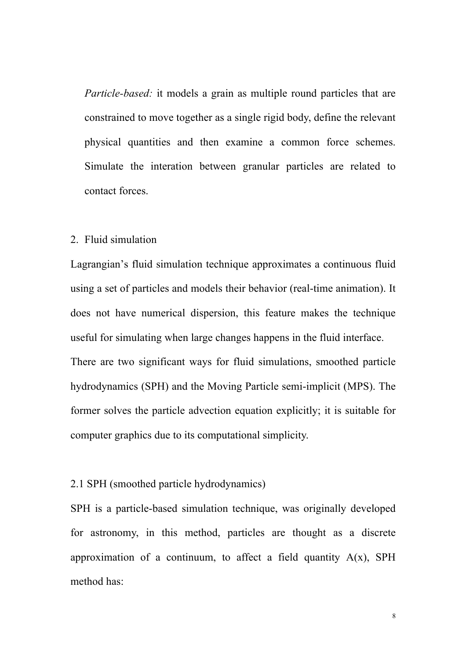*Particle-based:* it models a grain as multiple round particles that are constrained to move together as a single rigid body, define the relevant physical quantities and then examine a common force schemes. Simulate the interation between granular particles are related to contact forces.

## 2. Fluid simulation

Lagrangian's fluid simulation technique approximates a continuous fluid using a set of particles and models their behavior (real-time animation). It does not have numerical dispersion, this feature makes the technique useful for simulating when large changes happens in the fluid interface. There are two significant ways for fluid simulations, smoothed particle hydrodynamics (SPH) and the Moving Particle semi-implicit (MPS). The former solves the particle advection equation explicitly; it is suitable for computer graphics due to its computational simplicity.

# 2.1 SPH (smoothed particle hydrodynamics)

SPH is a particle-based simulation technique, was originally developed for astronomy, in this method, particles are thought as a discrete approximation of a continuum, to affect a field quantity  $A(x)$ , SPH method has: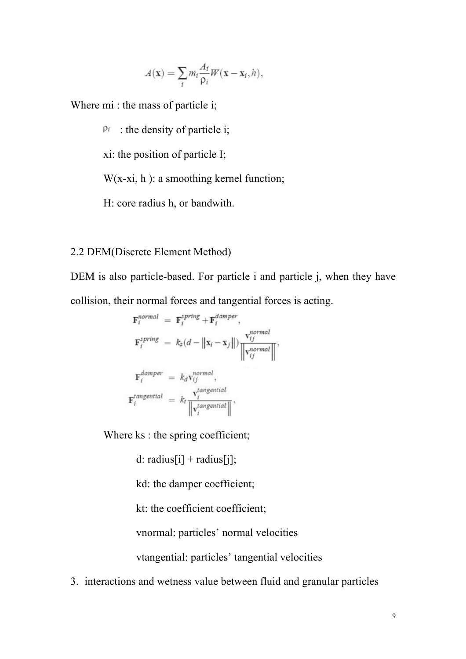$$
A(\mathbf{x}) = \sum_{i} m_i \frac{A_i}{\rho_i} W(\mathbf{x} - \mathbf{x}_i, h),
$$

Where mi : the mass of particle i;

 $P_i$ : the density of particle i;

xi: the position of particle I;

 $W(x-xi, h)$ : a smoothing kernel function;

H: core radius h, or bandwith.

# 2.2 DEM(Discrete Element Method)

DEM is also particle-based. For particle i and particle j, when they have collision, their normal forces and tangential forces is acting.

$$
\mathbf{F}_{i}^{normal} = \mathbf{F}_{i}^{spring} + \mathbf{F}_{i}^{damper},
$$
\n
$$
\mathbf{F}_{i}^{spring} = k_{s}(d - ||\mathbf{x}_{i} - \mathbf{x}_{j}||) \frac{\mathbf{v}_{ij}^{normal}}{||\mathbf{v}_{ij}^{normal}||},
$$
\n
$$
\mathbf{F}_{i}^{damper} = k_{d}\mathbf{v}_{ij}^{normal},
$$
\n
$$
\mathbf{F}_{i}^{tangential} = k_{t} \frac{\mathbf{v}_{i}^{tangential}}{||\mathbf{v}_{i}^{tangential}||},
$$

Where ks : the spring coefficient;

d: radius[i] + radius[j];

kd: the damper coefficient;

kt: the coefficient coefficient;

vnormal: particles' normal velocities

vtangential: particles' tangential velocities

3. interactions and wetness value between fluid and granular particles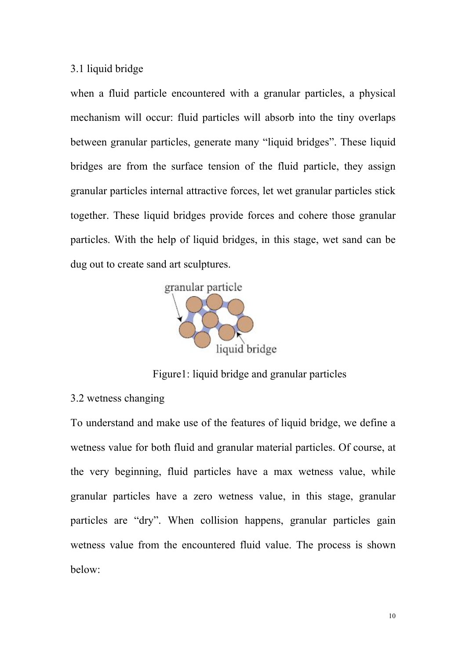# 3.1 liquid bridge

when a fluid particle encountered with a granular particles, a physical mechanism will occur: fluid particles will absorb into the tiny overlaps between granular particles, generate many "liquid bridges". These liquid bridges are from the surface tension of the fluid particle, they assign granular particles internal attractive forces, let wet granular particles stick together. These liquid bridges provide forces and cohere those granular particles. With the help of liquid bridges, in this stage, wet sand can be dug out to create sand art sculptures.



Figure1: liquid bridge and granular particles

## 3.2 wetness changing

To understand and make use of the features of liquid bridge, we define a wetness value for both fluid and granular material particles. Of course, at the very beginning, fluid particles have a max wetness value, while granular particles have a zero wetness value, in this stage, granular particles are "dry". When collision happens, granular particles gain wetness value from the encountered fluid value. The process is shown below: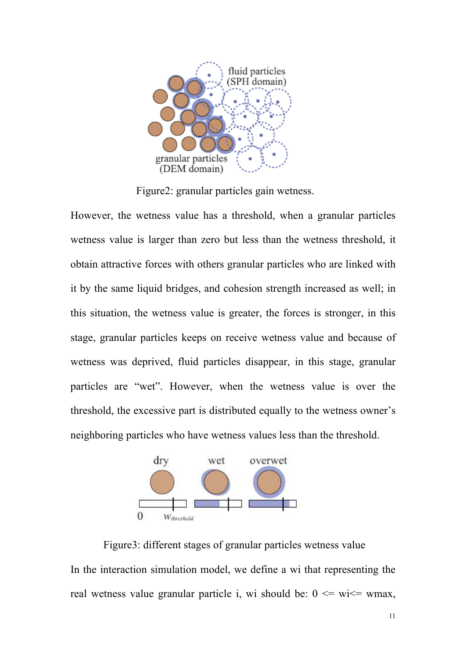

Figure2: granular particles gain wetness.

However, the wetness value has a threshold, when a granular particles wetness value is larger than zero but less than the wetness threshold, it obtain attractive forces with others granular particles who are linked with it by the same liquid bridges, and cohesion strength increased as well; in this situation, the wetness value is greater, the forces is stronger, in this stage, granular particles keeps on receive wetness value and because of wetness was deprived, fluid particles disappear, in this stage, granular particles are "wet". However, when the wetness value is over the threshold, the excessive part is distributed equally to the wetness owner's neighboring particles who have wetness values less than the threshold.



Figure3: different stages of granular particles wetness value In the interaction simulation model, we define a wi that representing the real wetness value granular particle i, wi should be:  $0 \le w \le w$  with which values when  $w \in W$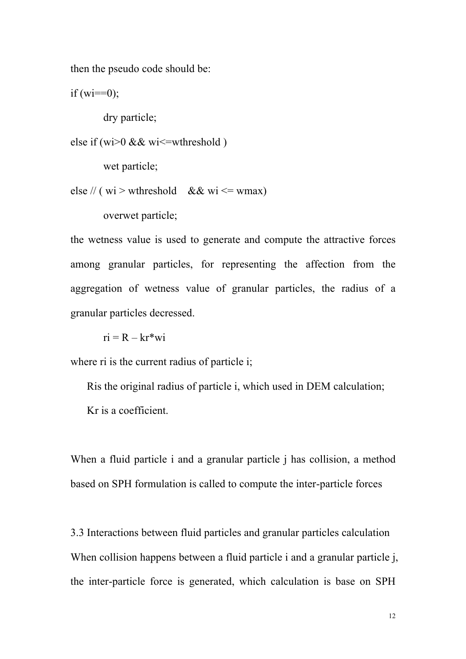then the pseudo code should be:

if  $(wi==0)$ ;

dry particle;

else if (wi>0 && wi<=wthreshold )

wet particle;

else // ( $wi$  > wthreshold && wi <= wmax)

overwet particle;

the wetness value is used to generate and compute the attractive forces among granular particles, for representing the affection from the aggregation of wetness value of granular particles, the radius of a granular particles decressed.

 $ri = R - kr^*wi$ 

where ri is the current radius of particle i;

Ris the original radius of particle i, which used in DEM calculation; Kr is a coefficient.

When a fluid particle i and a granular particle j has collision, a method based on SPH formulation is called to compute the inter-particle forces

3.3 Interactions between fluid particles and granular particles calculation When collision happens between a fluid particle i and a granular particle i, the inter-particle force is generated, which calculation is base on SPH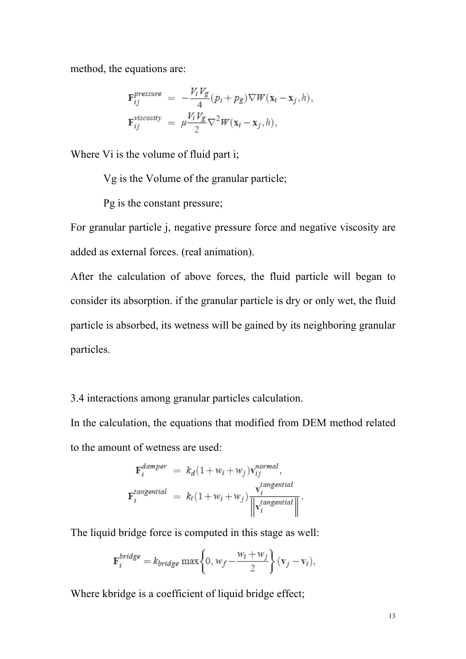method, the equations are:

$$
\begin{aligned} \mathbf{F}_{ij}^{pressure} &= -\frac{V_i V_g}{4} (p_i + p_g) \nabla W(\mathbf{x}_i - \mathbf{x}_j, h), \\ \mathbf{F}_{ij}^{viscosity} &= \mu \frac{V_i V_g}{2} \nabla^2 W(\mathbf{x}_i - \mathbf{x}_j, h), \end{aligned}
$$

Where Vi is the volume of fluid part i;

Vg is the Volume of the granular particle;

Pg is the constant pressure;

For granular particle j, negative pressure force and negative viscosity are added as external forces. (real animation).

After the calculation of above forces, the fluid particle will began to consider its absorption. if the granular particle is dry or only wet, the fluid particle is absorbed, its wetness will be gained by its neighboring granular particles.

3.4 interactions among granular particles calculation.

In the calculation, the equations that modified from DEM method related to the amount of wetness are used:

$$
\mathbf{F}_{i}^{damper} = k_{d} (1 + w_{i} + w_{j}) \mathbf{v}_{ij}^{normal},
$$
\n
$$
\mathbf{F}_{i}^{tangential} = k_{t} (1 + w_{i} + w_{j}) \frac{\mathbf{v}_{i}^{tangential}}{\left\| \mathbf{v}_{i}^{tangential} \right\|}.
$$

The liquid bridge force is computed in this stage as well:

$$
\mathbf{F}_{i}^{bridge} = k_{bridge} \max\left\{0, w_f - \frac{w_i + w_j}{2}\right\} (\mathbf{v}_j - \mathbf{v}_i),
$$

Where kbridge is a coefficient of liquid bridge effect;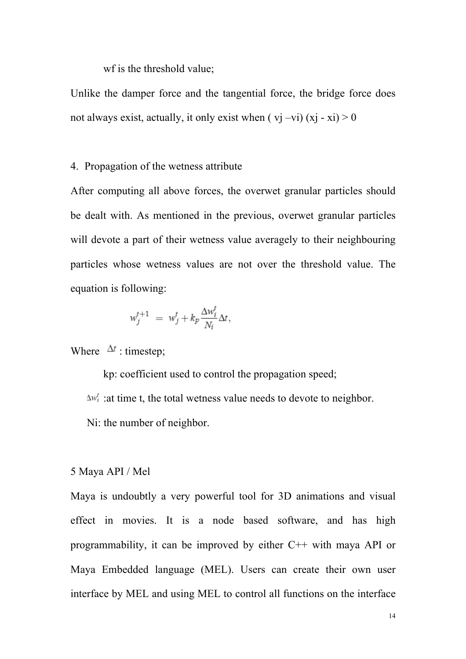wf is the threshold value;

Unlike the damper force and the tangential force, the bridge force does not always exist, actually, it only exist when  $(vj -vi)(xi - xi) > 0$ 

#### 4. Propagation of the wetness attribute

After computing all above forces, the overwet granular particles should be dealt with. As mentioned in the previous, overwet granular particles will devote a part of their wetness value averagely to their neighbouring particles whose wetness values are not over the threshold value. The equation is following:

$$
w_j^{t+1} = w_j^t + k_p \frac{\Delta w_i^t}{N_i} \Delta t,
$$

Where  $\Delta t$ : timestep;

kp: coefficient used to control the propagation speed;

 $\Delta w_i^t$ : at time t, the total wetness value needs to devote to neighbor.

Ni: the number of neighbor.

#### 5 Maya API / Mel

Maya is undoubtly a very powerful tool for 3D animations and visual effect in movies. It is a node based software, and has high programmability, it can be improved by either C++ with maya API or Maya Embedded language (MEL). Users can create their own user interface by MEL and using MEL to control all functions on the interface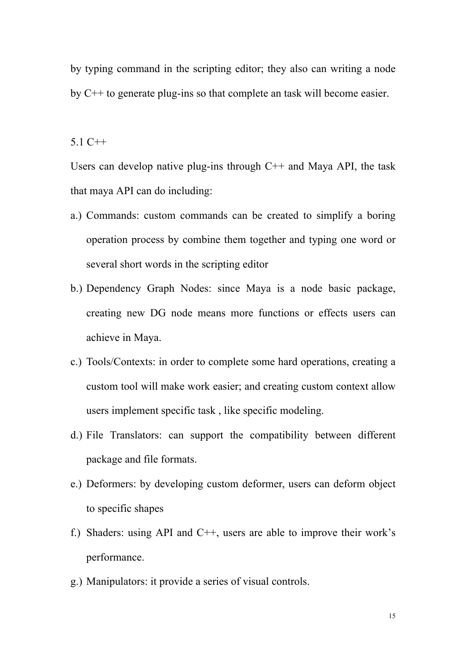by typing command in the scripting editor; they also can writing a node by C++ to generate plug-ins so that complete an task will become easier.

5.1 C++

Users can develop native plug-ins through  $C++$  and Maya API, the task that maya API can do including:

- a.) Commands: custom commands can be created to simplify a boring operation process by combine them together and typing one word or several short words in the scripting editor
- b.) Dependency Graph Nodes: since Maya is a node basic package, creating new DG node means more functions or effects users can achieve in Maya.
- c.) Tools/Contexts: in order to complete some hard operations, creating a custom tool will make work easier; and creating custom context allow users implement specific task , like specific modeling.
- d.) File Translators: can support the compatibility between different package and file formats.
- e.) Deformers: by developing custom deformer, users can deform object to specific shapes
- f.) Shaders: using API and C++, users are able to improve their work's performance.
- g.) Manipulators: it provide a series of visual controls.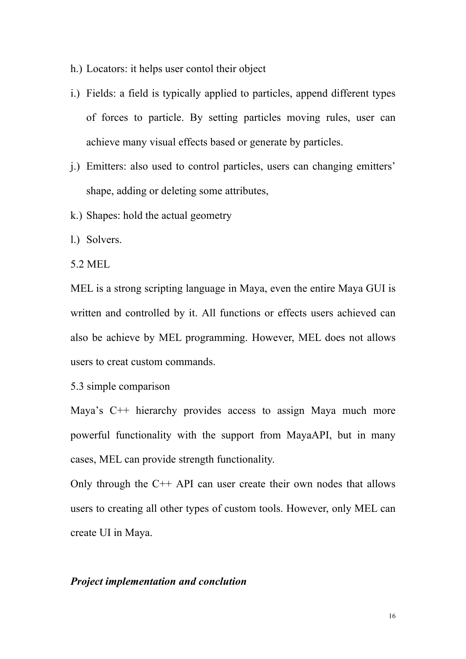- h.) Locators: it helps user contol their object
- i.) Fields: a field is typically applied to particles, append different types of forces to particle. By setting particles moving rules, user can achieve many visual effects based or generate by particles.
- j.) Emitters: also used to control particles, users can changing emitters' shape, adding or deleting some attributes,
- k.) Shapes: hold the actual geometry

l.) Solvers.

5.2 MEL

MEL is a strong scripting language in Maya, even the entire Maya GUI is written and controlled by it. All functions or effects users achieved can also be achieve by MEL programming. However, MEL does not allows users to creat custom commands.

5.3 simple comparison

Maya's C<sup>++</sup> hierarchy provides access to assign Maya much more powerful functionality with the support from MayaAPI, but in many cases, MEL can provide strength functionality.

Only through the  $C++$  API can user create their own nodes that allows users to creating all other types of custom tools. However, only MEL can create UI in Maya.

## *Project implementation and conclution*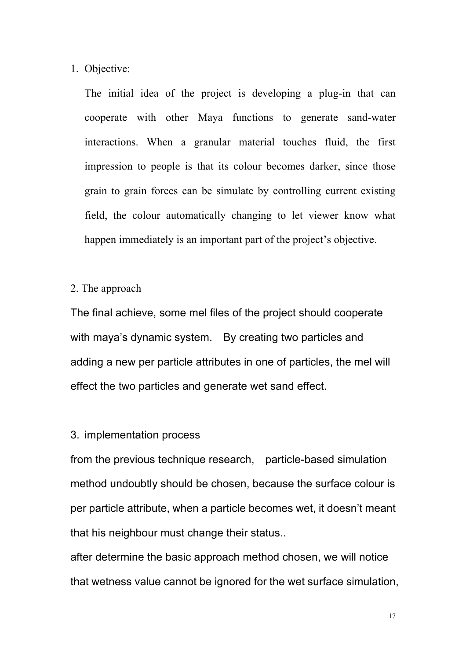## 1. Objective:

The initial idea of the project is developing a plug-in that can cooperate with other Maya functions to generate sand-water interactions. When a granular material touches fluid, the first impression to people is that its colour becomes darker, since those grain to grain forces can be simulate by controlling current existing field, the colour automatically changing to let viewer know what happen immediately is an important part of the project's objective.

2. The approach

The final achieve, some mel files of the project should cooperate with maya's dynamic system. By creating two particles and adding a new per particle attributes in one of particles, the mel will effect the two particles and generate wet sand effect.

# 3. implementation process

from the previous technique research, particle-based simulation method undoubtly should be chosen, because the surface colour is per particle attribute, when a particle becomes wet, it doesn't meant that his neighbour must change their status..

after determine the basic approach method chosen, we will notice that wetness value cannot be ignored for the wet surface simulation,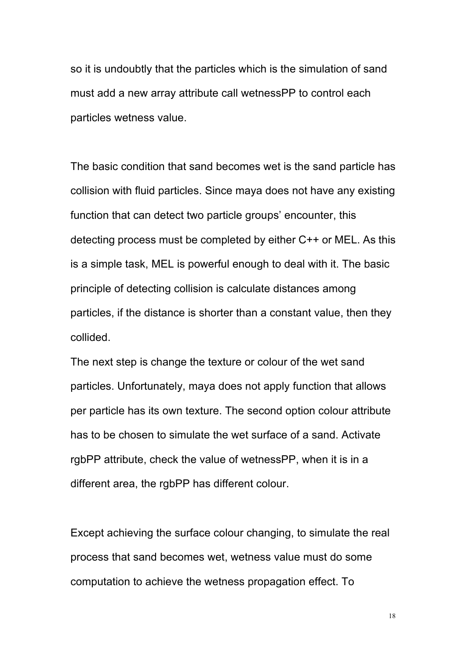so it is undoubtly that the particles which is the simulation of sand must add a new array attribute call wetnessPP to control each particles wetness value.

The basic condition that sand becomes wet is the sand particle has collision with fluid particles. Since maya does not have any existing function that can detect two particle groups' encounter, this detecting process must be completed by either C++ or MEL. As this is a simple task, MEL is powerful enough to deal with it. The basic principle of detecting collision is calculate distances among particles, if the distance is shorter than a constant value, then they collided.

The next step is change the texture or colour of the wet sand particles. Unfortunately, maya does not apply function that allows per particle has its own texture. The second option colour attribute has to be chosen to simulate the wet surface of a sand. Activate rgbPP attribute, check the value of wetnessPP, when it is in a different area, the rgbPP has different colour.

Except achieving the surface colour changing, to simulate the real process that sand becomes wet, wetness value must do some computation to achieve the wetness propagation effect. To

18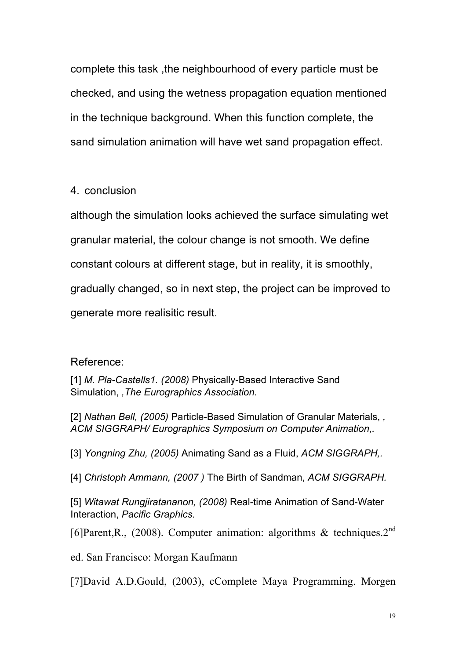complete this task ,the neighbourhood of every particle must be checked, and using the wetness propagation equation mentioned in the technique background. When this function complete, the sand simulation animation will have wet sand propagation effect.

4. conclusion

although the simulation looks achieved the surface simulating wet granular material, the colour change is not smooth. We define constant colours at different stage, but in reality, it is smoothly, gradually changed, so in next step, the project can be improved to generate more realisitic result.

Reference:

[1] *M. Pla-Castells1. (2008)* Physically-Based Interactive Sand Simulation, *,The Eurographics Association.*

[2] *Nathan Bell, (2005)* Particle-Based Simulation of Granular Materials, *, ACM SIGGRAPH/ Eurographics Symposium on Computer Animation,.*

[3] *Yongning Zhu, (2005)* Animating Sand as a Fluid, *ACM SIGGRAPH,.*

[4] *Christoph Ammann, (2007 )* The Birth of Sandman, *ACM SIGGRAPH.*

[5] *Witawat Rungjiratananon, (2008)* Real-time Animation of Sand-Water Interaction, *Pacific Graphics.*

[6]Parent, R., (2008). Computer animation: algorithms & techniques.  $2^{nd}$ 

ed. San Francisco: Morgan Kaufmann

[7]David A.D.Gould, (2003), cComplete Maya Programming. Morgen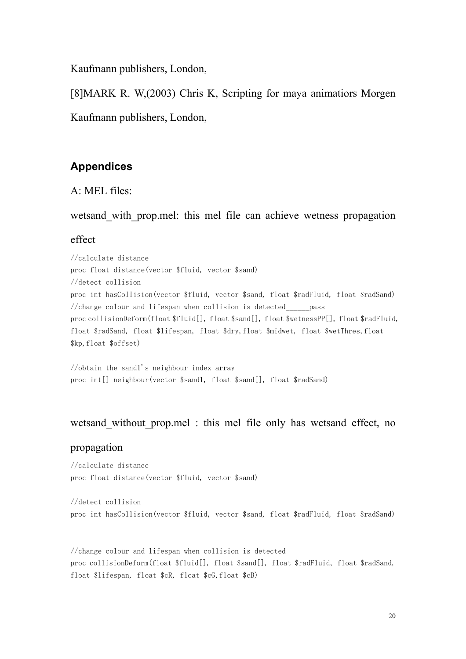Kaufmann publishers, London,

[8]MARK R. W,(2003) Chris K, Scripting for maya animatiors Morgen

Kaufmann publishers, London,

# **Appendices**

A: MEL files:

wetsand with prop.mel: this mel file can achieve wetness propagation

# effect

//calculate distance proc float distance(vector \$fluid, vector \$sand) //detect collision proc int hasCollision(vector \$fluid, vector \$sand, float \$radFluid, float \$radSand) //change colour and lifespan when collision is detected  $_{\text{pass}}$ proc collisionDeform(float \$fluid[], float \$sand[], float \$wetnessPP[], float \$radFluid, float \$radSand, float \$lifespan, float \$dry,float \$midwet, float \$wetThres,float \$kp,float \$offset)

//obtain the sand1's neighbour index array proc int[] neighbour(vector \$sand1, float \$sand[], float \$radSand)

# wetsand without prop.mel : this mel file only has wetsand effect, no

#### propagation

//calculate distance proc float distance(vector \$fluid, vector \$sand)

//detect collision proc int hasCollision(vector \$fluid, vector \$sand, float \$radFluid, float \$radSand)

//change colour and lifespan when collision is detected proc collisionDeform(float \$fluid[], float \$sand[], float \$radFluid, float \$radSand, float \$lifespan, float \$cR, float \$cG,float \$cB)